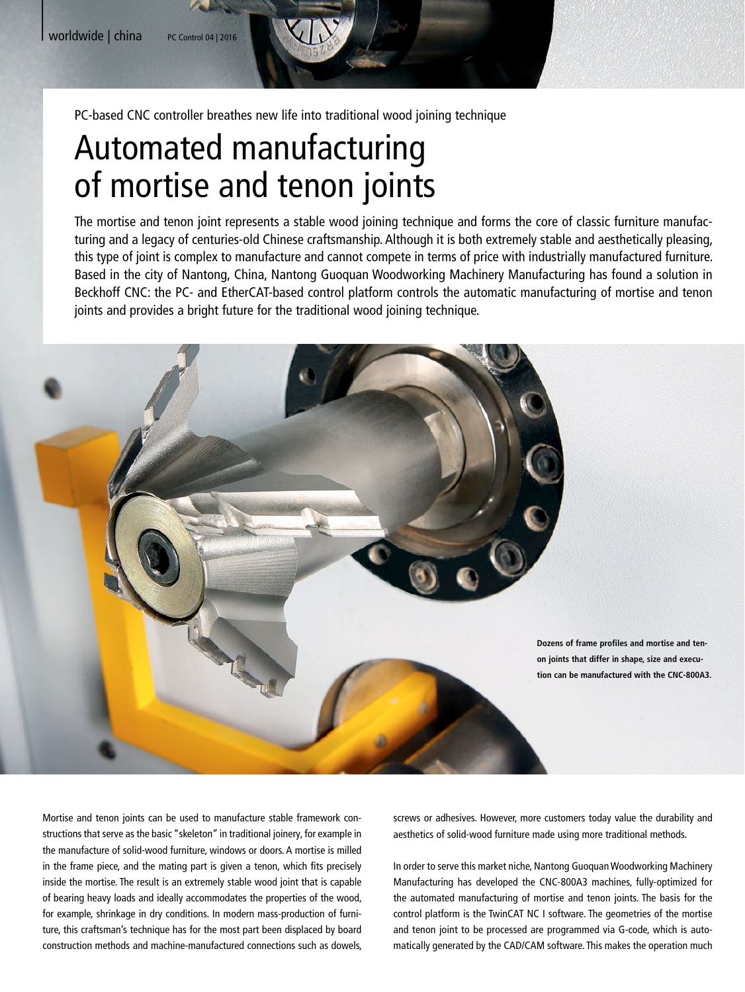PC-based CNC controller breathes new life into traditional wood joining technique

## Automated manufacturing of mortise and tenon joints

The mortise and tenon joint represents a stable wood joining technique and forms the core of classic furniture manufacturing and a legacy of centuries-old Chinese craftsmanship. Although it is both extremely stable and aesthetically pleasing, this type of joint is complex to manufacture and cannot compete in terms of price with industrially manufactured furniture. Based in the city of Nantong, China, Nantong Guoquan Woodworking Machinery Manufacturing has found a solution in Beckhoff CNC: the PC- and EtherCAT-based control platform controls the automatic manufacturing of mortise and tenon joints and provides a bright future for the traditional wood joining technique.



Mortise and tenon joints can be used to manufacture stable framework constructions that serve as the basic "skeleton" in traditional joinery, for example in the manufacture of solid-wood furniture, windows or doors. A mortise is milled in the frame piece, and the mating part is given a tenon, which fits precisely inside the mortise. The result is an extremely stable wood joint that is capable of bearing heavy loads and ideally accommodates the properties of the wood, for example, shrinkage in dry conditions. In modern mass-production of furniture, this craftsman's technique has for the most part been displaced by board construction methods and machine-manufactured connections such as dowels,

screws or adhesives. However, more customers today value the durability and aesthetics of solid-wood furniture made using more traditional methods.

In order to serve this market niche, Nantong Guoquan Woodworking Machinery Manufacturing has developed the CNC-800A3 machines, fully-optimized for the automated manufacturing of mortise and tenon joints. The basis for the control platform is the TwinCAT NC I software. The geometries of the mortise and tenon joint to be processed are programmed via G-code, which is automatically generated by the CAD/CAM software. This makes the operation much